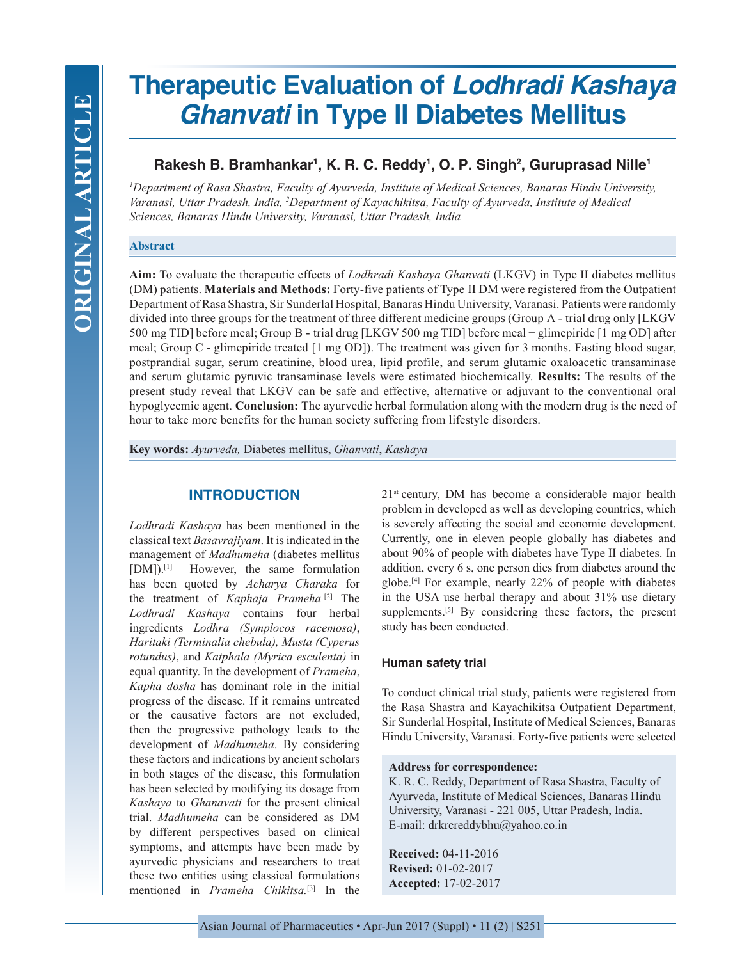# **Therapeutic Evaluation of** *Lodhradi Kashaya Ghanvati* **in Type II Diabetes Mellitus**

# **Rakesh B. Bramhankar1 , K. R. C. Reddy1 , O. P. Singh2 , Guruprasad Nille1**

*1 Department of Rasa Shastra, Faculty of Ayurveda, Institute of Medical Sciences, Banaras Hindu University, Varanasi, Uttar Pradesh, India, 2 Department of Kayachikitsa, Faculty of Ayurveda, Institute of Medical Sciences, Banaras Hindu University, Varanasi, Uttar Pradesh, India*

## **Abstract**

**Aim:** To evaluate the therapeutic effects of *Lodhradi Kashaya Ghanvati* (LKGV) in Type II diabetes mellitus (DM) patients. **Materials and Methods:** Forty-five patients of Type II DM were registered from the Outpatient Department of Rasa Shastra, Sir Sunderlal Hospital, Banaras Hindu University, Varanasi. Patients were randomly divided into three groups for the treatment of three different medicine groups (Group A - trial drug only [LKGV 500 mg TID] before meal; Group B - trial drug [LKGV 500 mg TID] before meal + glimepiride [1 mg OD] after meal; Group C - glimepiride treated [1 mg OD]). The treatment was given for 3 months. Fasting blood sugar, postprandial sugar, serum creatinine, blood urea, lipid profile, and serum glutamic oxaloacetic transaminase and serum glutamic pyruvic transaminase levels were estimated biochemically. **Results:** The results of the present study reveal that LKGV can be safe and effective, alternative or adjuvant to the conventional oral hypoglycemic agent. **Conclusion:** The ayurvedic herbal formulation along with the modern drug is the need of hour to take more benefits for the human society suffering from lifestyle disorders.

**Key words:** *Ayurveda,* Diabetes mellitus, *Ghanvati*, *Kashaya*

# **INTRODUCTION**

*Lodhradi Kashaya* has been mentioned in the classical text *Basavrajiyam*. It is indicated in the management of *Madhumeha* (diabetes mellitus [DM]).[1] However, the same formulation has been quoted by *Acharya Charaka* for the treatment of *Kaphaja Prameha* [2] The *Lodhradi Kashaya* contains four herbal ingredients *Lodhra (Symplocos racemosa)*, *Haritaki (Terminalia chebula), Musta (Cyperus rotundus)*, and *Katphala (Myrica esculenta)* in equal quantity. In the development of *Prameha*, *Kapha dosha* has dominant role in the initial progress of the disease. If it remains untreated or the causative factors are not excluded, then the progressive pathology leads to the development of *Madhumeha*. By considering these factors and indications by ancient scholars in both stages of the disease, this formulation has been selected by modifying its dosage from *Kashaya* to *Ghanavati* for the present clinical trial. *Madhumeha* can be considered as DM by different perspectives based on clinical symptoms, and attempts have been made by ayurvedic physicians and researchers to treat these two entities using classical formulations mentioned in *Prameha Chikitsa*<sup>[3]</sup> In the

 $21<sup>st</sup>$  century, DM has become a considerable major health problem in developed as well as developing countries, which is severely affecting the social and economic development. Currently, one in eleven people globally has diabetes and about 90% of people with diabetes have Type II diabetes. In addition, every 6 s, one person dies from diabetes around the globe.[4] For example, nearly 22% of people with diabetes in the USA use herbal therapy and about 31% use dietary supplements.<sup>[5]</sup> By considering these factors, the present study has been conducted.

## **Human safety trial**

To conduct clinical trial study, patients were registered from the Rasa Shastra and Kayachikitsa Outpatient Department, Sir Sunderlal Hospital, Institute of Medical Sciences, Banaras Hindu University, Varanasi. Forty-five patients were selected

## **Address for correspondence:**

K. R. C. Reddy, Department of Rasa Shastra, Faculty of Ayurveda, Institute of Medical Sciences, Banaras Hindu University, Varanasi - 221 005, Uttar Pradesh, India. E-mail: drkrcreddybhu@yahoo.co.in

**Received:** 04-11-2016 **Revised:** 01-02-2017 **Accepted:** 17-02-2017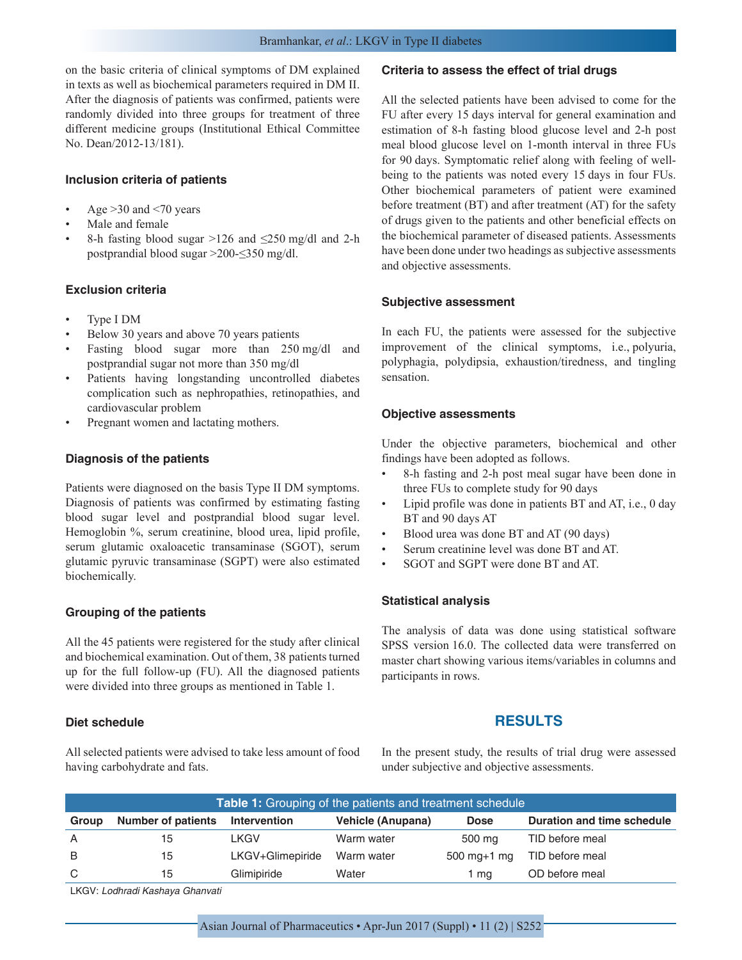on the basic criteria of clinical symptoms of DM explained in texts as well as biochemical parameters required in DM II. After the diagnosis of patients was confirmed, patients were randomly divided into three groups for treatment of three different medicine groups (Institutional Ethical Committee No. Dean/2012-13/181).

#### **Inclusion criteria of patients**

- Age  $>30$  and  $< 70$  years
- Male and female
- 8-h fasting blood sugar >126 and  $\leq$ 250 mg/dl and 2-h postprandial blood sugar >200-≤350 mg/dl.

#### **Exclusion criteria**

- Type I DM
- Below 30 years and above 70 years patients
- Fasting blood sugar more than 250 mg/dl and postprandial sugar not more than 350 mg/dl
- Patients having longstanding uncontrolled diabetes complication such as nephropathies, retinopathies, and cardiovascular problem
- Pregnant women and lactating mothers.

#### **Diagnosis of the patients**

Patients were diagnosed on the basis Type II DM symptoms. Diagnosis of patients was confirmed by estimating fasting blood sugar level and postprandial blood sugar level. Hemoglobin %, serum creatinine, blood urea, lipid profile, serum glutamic oxaloacetic transaminase (SGOT), serum glutamic pyruvic transaminase (SGPT) were also estimated biochemically.

#### **Grouping of the patients**

All the 45 patients were registered for the study after clinical and biochemical examination. Out of them, 38 patients turned up for the full follow-up (FU). All the diagnosed patients were divided into three groups as mentioned in Table 1.

#### **Diet schedule**

#### **Criteria to assess the effect of trial drugs**

All the selected patients have been advised to come for the FU after every 15 days interval for general examination and estimation of 8-h fasting blood glucose level and 2-h post meal blood glucose level on 1-month interval in three FUs for 90 days. Symptomatic relief along with feeling of wellbeing to the patients was noted every 15 days in four FUs. Other biochemical parameters of patient were examined before treatment (BT) and after treatment (AT) for the safety of drugs given to the patients and other beneficial effects on the biochemical parameter of diseased patients. Assessments have been done under two headings as subjective assessments and objective assessments.

#### **Subjective assessment**

In each FU, the patients were assessed for the subjective improvement of the clinical symptoms, i.e., polyuria, polyphagia, polydipsia, exhaustion/tiredness, and tingling sensation.

#### **Objective assessments**

Under the objective parameters, biochemical and other findings have been adopted as follows.

- 8-h fasting and 2-h post meal sugar have been done in three FUs to complete study for 90 days
- Lipid profile was done in patients BT and AT, i.e., 0 day BT and 90 days AT
- Blood urea was done BT and AT (90 days)
- Serum creatinine level was done BT and AT.
- SGOT and SGPT were done BT and AT.

#### **Statistical analysis**

The analysis of data was done using statistical software SPSS version 16.0. The collected data were transferred on master chart showing various items/variables in columns and participants in rows.

## **RESULTS**

All selected patients were advised to take less amount of food having carbohydrate and fats.

In the present study, the results of trial drug were assessed under subjective and objective assessments.

|       |                           |                  | Table 1: Grouping of the patients and treatment schedule |               |                            |
|-------|---------------------------|------------------|----------------------------------------------------------|---------------|----------------------------|
| Group | <b>Number of patients</b> | Intervention     | <b>Vehicle (Anupana)</b>                                 | <b>Dose</b>   | Duration and time schedule |
| A     | 15                        | LKGV             | Warm water                                               | 500 mg        | TID before meal            |
| B     | 15                        | LKGV+Glimepiride | Warm water                                               | $500$ mg+1 mg | TID before meal            |
| C     | 15                        | Glimipiride      | Water                                                    | l ma          | OD before meal             |
|       |                           |                  |                                                          |               |                            |

LKGV: *Lodhradi Kashaya Ghanvati*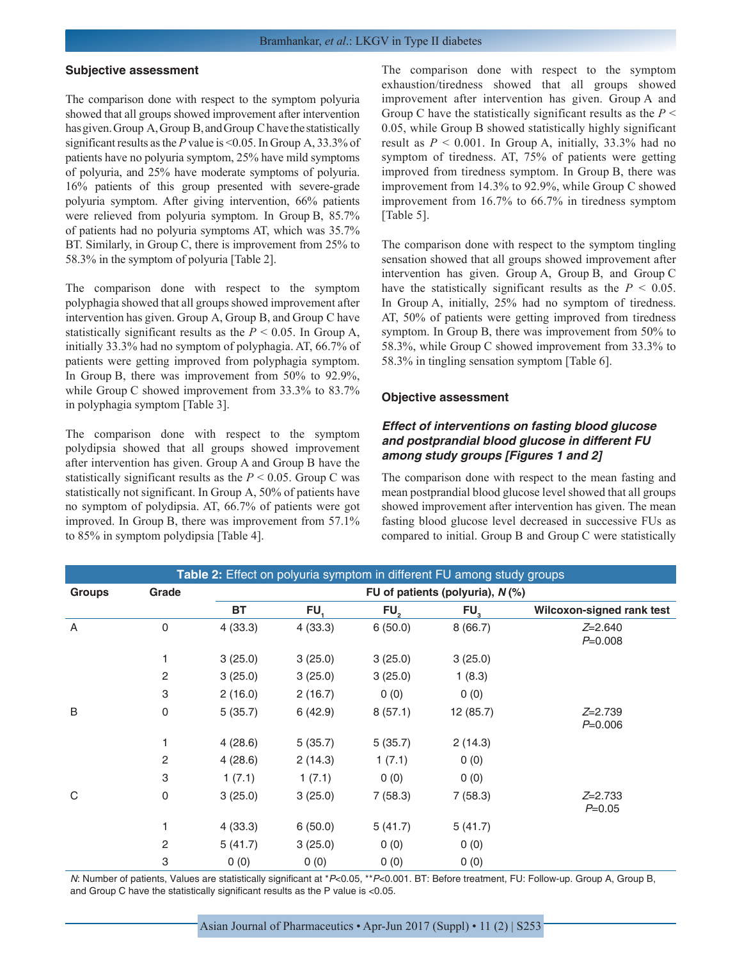#### **Subjective assessment**

The comparison done with respect to the symptom polyuria showed that all groups showed improvement after intervention has given. Group A, Group B, and Group C have the statistically significant results as the *P* value is <0.05. In Group A, 33.3% of patients have no polyuria symptom, 25% have mild symptoms of polyuria, and 25% have moderate symptoms of polyuria. 16% patients of this group presented with severe-grade polyuria symptom. After giving intervention, 66% patients were relieved from polyuria symptom. In Group B, 85.7% of patients had no polyuria symptoms AT, which was 35.7% BT. Similarly, in Group C, there is improvement from 25% to 58.3% in the symptom of polyuria [Table 2].

The comparison done with respect to the symptom polyphagia showed that all groups showed improvement after intervention has given. Group A, Group B, and Group C have statistically significant results as the  $P < 0.05$ . In Group A, initially 33.3% had no symptom of polyphagia. AT, 66.7% of patients were getting improved from polyphagia symptom. In Group B, there was improvement from 50% to 92.9%, while Group C showed improvement from 33.3% to 83.7% in polyphagia symptom [Table 3].

The comparison done with respect to the symptom polydipsia showed that all groups showed improvement after intervention has given. Group A and Group B have the statistically significant results as the  $P < 0.05$ . Group C was statistically not significant. In Group A, 50% of patients have no symptom of polydipsia. AT, 66.7% of patients were got improved. In Group B, there was improvement from 57.1% to 85% in symptom polydipsia [Table 4].

The comparison done with respect to the symptom exhaustion/tiredness showed that all groups showed improvement after intervention has given. Group A and Group C have the statistically significant results as the *P* < 0.05, while Group B showed statistically highly significant result as  $P \le 0.001$ . In Group A, initially, 33.3% had no symptom of tiredness. AT, 75% of patients were getting improved from tiredness symptom. In Group B, there was improvement from 14.3% to 92.9%, while Group C showed improvement from 16.7% to 66.7% in tiredness symptom [Table 5].

The comparison done with respect to the symptom tingling sensation showed that all groups showed improvement after intervention has given. Group A, Group B, and Group C have the statistically significant results as the  $P < 0.05$ . In Group A, initially, 25% had no symptom of tiredness. AT, 50% of patients were getting improved from tiredness symptom. In Group B, there was improvement from 50% to 58.3%, while Group C showed improvement from 33.3% to 58.3% in tingling sensation symptom [Table 6].

#### **Objective assessment**

## *Effect of interventions on fasting blood glucose and postprandial blood glucose in different FU among study groups [Figures 1 and 2]*

The comparison done with respect to the mean fasting and mean postprandial blood glucose level showed that all groups showed improvement after intervention has given. The mean fasting blood glucose level decreased in successive FUs as compared to initial. Group B and Group C were statistically

|               |             |           |                 |                 | Table 2: Effect on polyuria symptom in different FU among study groups |                           |
|---------------|-------------|-----------|-----------------|-----------------|------------------------------------------------------------------------|---------------------------|
| <b>Groups</b> | Grade       |           |                 |                 | FU of patients (polyuria), N (%)                                       |                           |
|               |             | <b>BT</b> | FU <sub>1</sub> | FU <sub>2</sub> | FU <sub>3</sub>                                                        | Wilcoxon-signed rank test |
| A             | 0           | 4(33.3)   | 4(33.3)         | 6(50.0)         | 8(66.7)                                                                | $Z = 2.640$<br>$P=0.008$  |
|               | 1           | 3(25.0)   | 3(25.0)         | 3(25.0)         | 3(25.0)                                                                |                           |
|               | 2           | 3(25.0)   | 3(25.0)         | 3(25.0)         | 1(8.3)                                                                 |                           |
|               | 3           | 2(16.0)   | 2(16.7)         | 0(0)            | 0(0)                                                                   |                           |
| B             | 0           | 5(35.7)   | 6(42.9)         | 8(57.1)         | 12 (85.7)                                                              | $Z = 2.739$<br>$P=0.006$  |
|               | 1           | 4(28.6)   | 5(35.7)         | 5(35.7)         | 2(14.3)                                                                |                           |
|               | 2           | 4(28.6)   | 2(14.3)         | 1(7.1)          | 0(0)                                                                   |                           |
|               | 3           | 1(7.1)    | 1(7.1)          | 0(0)            | 0(0)                                                                   |                           |
| C             | $\mathsf 0$ | 3(25.0)   | 3(25.0)         | 7(58.3)         | 7(58.3)                                                                | Z=2.733<br>$P = 0.05$     |
|               | 1           | 4(33.3)   | 6(50.0)         | 5(41.7)         | 5(41.7)                                                                |                           |
|               | $\sqrt{2}$  | 5(41.7)   | 3(25.0)         | 0(0)            | 0(0)                                                                   |                           |
|               | 3           | 0(0)      | 0(0)            | 0(0)            | 0(0)                                                                   |                           |

*N*: Number of patients, Values are statistically significant at \**P*<0.05, \*\**P*<0.001. BT: Before treatment, FU: Follow‑up. Group A, Group B, and Group C have the statistically significant results as the P value is <0.05.

Asian Journal of Pharmaceutics • Apr-Jun 2017 (Suppl) • 11 (2) | S253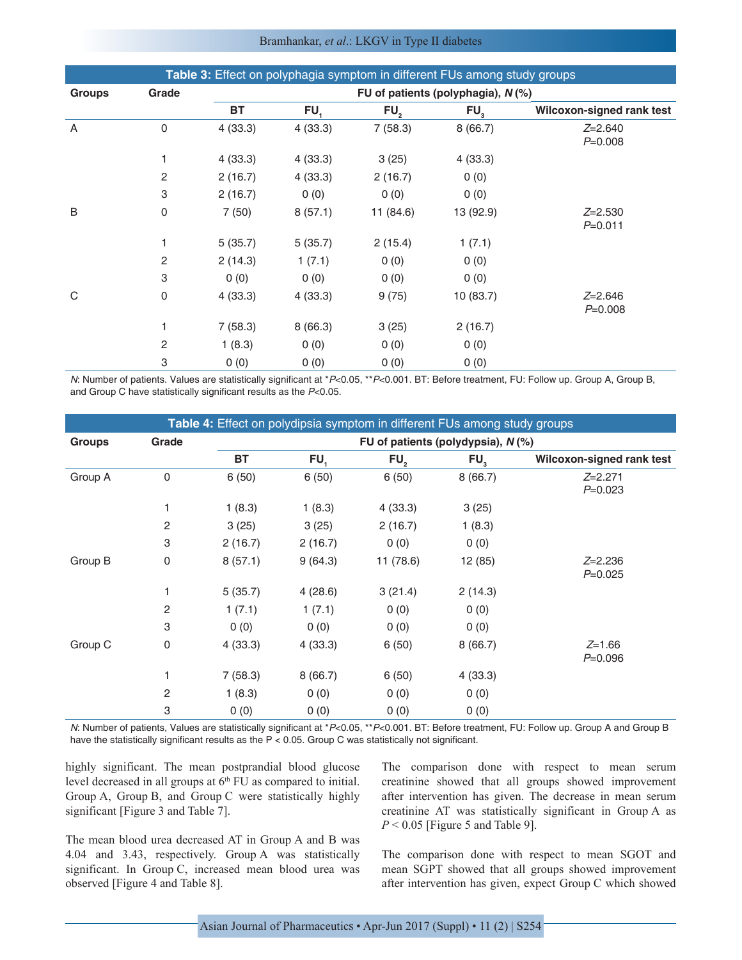Bramhankar, *et al*.: LKGV in Type II diabetes

|               |                |         |         |                 | Table 3: Effect on polyphagia symptom in different FUs among study groups |                           |
|---------------|----------------|---------|---------|-----------------|---------------------------------------------------------------------------|---------------------------|
| <b>Groups</b> | Grade          |         |         |                 | FU of patients (polyphagia), N (%)                                        |                           |
|               |                | BT      | FU,     | FU <sub>2</sub> | FU <sub>3</sub>                                                           | Wilcoxon-signed rank test |
| A             | $\mathbf 0$    | 4(33.3) | 4(33.3) | 7(58.3)         | 8(66.7)                                                                   | Z=2.640<br>$P = 0.008$    |
|               |                | 4(33.3) | 4(33.3) | 3(25)           | 4(33.3)                                                                   |                           |
|               | $\overline{c}$ | 2(16.7) | 4(33.3) | 2(16.7)         | 0(0)                                                                      |                           |
|               | 3              | 2(16.7) | 0(0)    | 0(0)            | 0(0)                                                                      |                           |
| B             | $\mathbf 0$    | 7(50)   | 8(57.1) | 11 (84.6)       | 13 (92.9)                                                                 | $Z = 2.530$<br>$P=0.011$  |
|               |                | 5(35.7) | 5(35.7) | 2(15.4)         | 1(7.1)                                                                    |                           |
|               | $\overline{c}$ | 2(14.3) | 1(7.1)  | 0(0)            | 0(0)                                                                      |                           |
|               | 3              | 0(0)    | 0(0)    | 0(0)            | 0(0)                                                                      |                           |
| C             | $\mathbf 0$    | 4(33.3) | 4(33.3) | 9(75)           | 10(83.7)                                                                  | Z=2.646<br>$P=0.008$      |
|               | 1              | 7(58.3) | 8(66.3) | 3(25)           | 2(16.7)                                                                   |                           |
|               | $\overline{2}$ | 1(8.3)  | 0(0)    | 0(0)            | 0(0)                                                                      |                           |
|               | 3              | 0(0)    | 0(0)    | 0(0)            | 0(0)                                                                      |                           |

*N*: Number of patients. Values are statistically significant at \**P*<0.05, \*\**P*<0.001. BT: Before treatment, FU: Follow up. Group A, Group B, and Group C have statistically significant results as the *P*<0.05.

|               |       |         |         | Table 4: Effect on polydipsia symptom in different FUs among study groups |                 |                           |
|---------------|-------|---------|---------|---------------------------------------------------------------------------|-----------------|---------------------------|
| <b>Groups</b> | Grade |         |         | FU of patients (polydypsia), N (%)                                        |                 |                           |
|               |       | ВT      | FU,     | FU <sub>2</sub>                                                           | FU <sub>3</sub> | Wilcoxon-signed rank test |
| Group A       | 0     | 6(50)   | 6(50)   | 6(50)                                                                     | 8(66.7)         | $Z = 2.271$<br>$P=0.023$  |
|               | 1     | 1(8.3)  | 1(8.3)  | 4(33.3)                                                                   | 3(25)           |                           |
|               | 2     | 3(25)   | 3(25)   | 2(16.7)                                                                   | 1(8.3)          |                           |
|               | 3     | 2(16.7) | 2(16.7) | 0(0)                                                                      | 0(0)            |                           |
| Group B       | 0     | 8(57.1) | 9(64.3) | 11 (78.6)                                                                 | 12 (85)         | $Z = 2.236$<br>$P=0.025$  |
|               | 1     | 5(35.7) | 4(28.6) | 3(21.4)                                                                   | 2(14.3)         |                           |
|               | 2     | 1(7.1)  | 1(7.1)  | 0(0)                                                                      | 0(0)            |                           |
|               | 3     | 0(0)    | 0(0)    | 0(0)                                                                      | 0(0)            |                           |
| Group C       | 0     | 4(33.3) | 4(33.3) | 6(50)                                                                     | 8(66.7)         | $Z = 1.66$<br>$P=0.096$   |
|               | 1     | 7(58.3) | 8(66.7) | 6(50)                                                                     | 4(33.3)         |                           |
|               | 2     | 1(8.3)  | 0(0)    | 0(0)                                                                      | 0(0)            |                           |
|               | 3     | 0(0)    | 0(0)    | 0(0)                                                                      | 0(0)            |                           |

*N*: Number of patients, Values are statistically significant at \**P*<0.05, \*\**P*<0.001. BT: Before treatment, FU: Follow up. Group A and Group B have the statistically significant results as the P < 0.05. Group C was statistically not significant.

highly significant. The mean postprandial blood glucose level decreased in all groups at  $6<sup>th</sup> FU$  as compared to initial. Group A, Group B, and Group C were statistically highly significant [Figure 3 and Table 7].

The mean blood urea decreased AT in Group A and B was 4.04 and 3.43, respectively. Group A was statistically significant. In Group C, increased mean blood urea was observed [Figure 4 and Table 8].

The comparison done with respect to mean serum creatinine showed that all groups showed improvement after intervention has given. The decrease in mean serum creatinine AT was statistically significant in Group A as *P* < 0.05 [Figure 5 and Table 9].

The comparison done with respect to mean SGOT and mean SGPT showed that all groups showed improvement after intervention has given, expect Group C which showed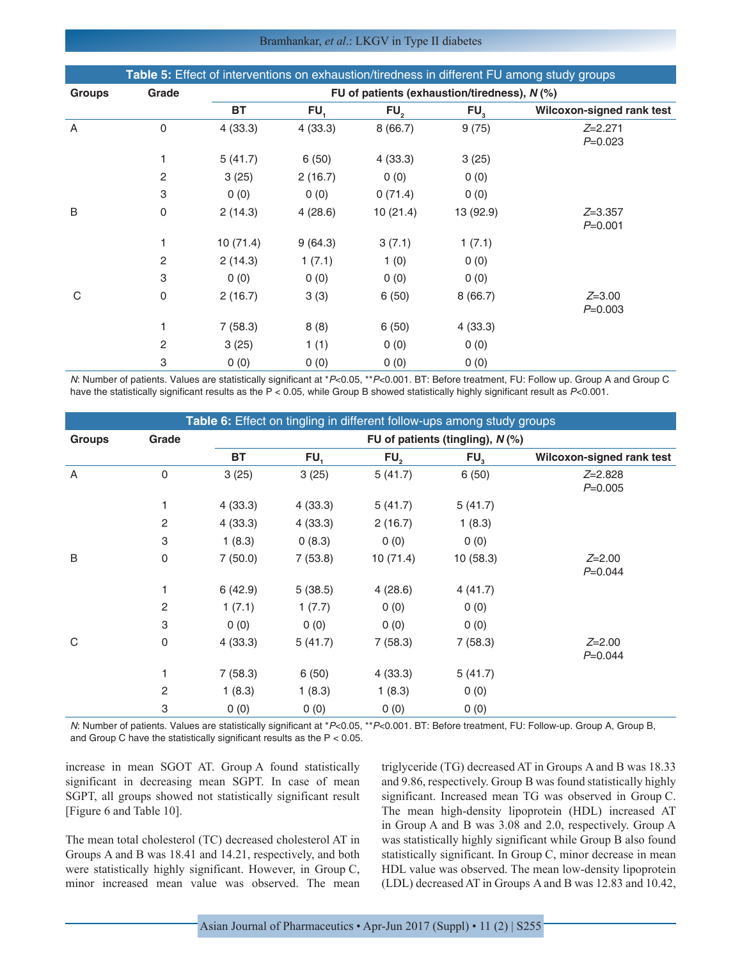| Bramhankar, et al.: LKGV in Type II diabetes |  |  |  |  |
|----------------------------------------------|--|--|--|--|
|----------------------------------------------|--|--|--|--|

|               |             |           |         |          |                                              | Table 5: Effect of interventions on exhaustion/tiredness in different FU among study groups |
|---------------|-------------|-----------|---------|----------|----------------------------------------------|---------------------------------------------------------------------------------------------|
| <b>Groups</b> | Grade       |           |         |          | FU of patients (exhaustion/tiredness), N (%) |                                                                                             |
|               |             | <b>BT</b> | FU,     | FU,      | FU <sub>3</sub>                              | Wilcoxon-signed rank test                                                                   |
| A             | 0           | 4(33.3)   | 4(33.3) | 8(66.7)  | 9(75)                                        | $Z = 2.271$<br>$P=0.023$                                                                    |
|               |             | 5(41.7)   | 6(50)   | 4(33.3)  | 3(25)                                        |                                                                                             |
|               | 2           | 3(25)     | 2(16.7) | 0(0)     | 0(0)                                         |                                                                                             |
|               | 3           | 0(0)      | 0(0)    | 0(71.4)  | 0(0)                                         |                                                                                             |
| B             | 0           | 2(14.3)   | 4(28.6) | 10(21.4) | 13 (92.9)                                    | $Z = 3.357$<br>$P=0.001$                                                                    |
|               |             | 10(71.4)  | 9(64.3) | 3(7.1)   | 1(7.1)                                       |                                                                                             |
|               | 2           | 2(14.3)   | 1(7.1)  | 1(0)     | 0(0)                                         |                                                                                             |
|               | 3           | 0(0)      | 0(0)    | 0(0)     | 0(0)                                         |                                                                                             |
| C             | $\mathbf 0$ | 2(16.7)   | 3(3)    | 6(50)    | 8(66.7)                                      | $Z = 3.00$<br>$P=0.003$                                                                     |
|               |             | 7(58.3)   | 8(8)    | 6(50)    | 4(33.3)                                      |                                                                                             |
|               | 2           | 3(25)     | 1(1)    | 0(0)     | 0(0)                                         |                                                                                             |
|               | 3           | 0(0)      | 0(0)    | 0(0)     | 0(0)                                         |                                                                                             |

*N*: Number of patients. Values are statistically significant at \**P*<0.05, \*\**P*<0.001. BT: Before treatment, FU: Follow up. Group A and Group C have the statistically significant results as the P < 0.05, while Group B showed statistically highly significant result as *P*<0.001.

|               |                |           |         |                 | Table 6: Effect on tingling in different follow-ups among study groups |                            |
|---------------|----------------|-----------|---------|-----------------|------------------------------------------------------------------------|----------------------------|
| <b>Groups</b> | Grade          |           |         |                 | FU of patients (tingling), N (%)                                       |                            |
|               |                | <b>BT</b> | FU,     | FU <sub>2</sub> | FU <sub>3</sub>                                                        | Wilcoxon-signed rank test  |
| A             | $\mathsf 0$    | 3(25)     | 3(25)   | 5(41.7)         | 6(50)                                                                  | $Z = 2.828$<br>$P = 0.005$ |
|               |                | 4(33.3)   | 4(33.3) | 5(41.7)         | 5(41.7)                                                                |                            |
|               | 2              | 4(33.3)   | 4(33.3) | 2(16.7)         | 1(8.3)                                                                 |                            |
|               | 3              | 1(8.3)    | 0(8.3)  | 0(0)            | 0(0)                                                                   |                            |
| B             | $\mathsf 0$    | 7(50.0)   | 7(53.8) | 10(71.4)        | 10(58.3)                                                               | $Z = 2.00$<br>$P=0.044$    |
|               | 1              | 6(42.9)   | 5(38.5) | 4(28.6)         | 4(41.7)                                                                |                            |
|               | $\overline{c}$ | 1(7.1)    | 1(7.7)  | 0(0)            | 0(0)                                                                   |                            |
|               | 3              | 0(0)      | 0(0)    | 0(0)            | 0(0)                                                                   |                            |
| C             | $\mathbf 0$    | 4(33.3)   | 5(41.7) | 7(58.3)         | 7(58.3)                                                                | $Z = 2.00$<br>$P = 0.044$  |
|               | 1              | 7(58.3)   | 6(50)   | 4(33.3)         | 5(41.7)                                                                |                            |
|               | $\overline{c}$ | 1(8.3)    | 1(8.3)  | 1(8.3)          | 0(0)                                                                   |                            |
|               | 3              | 0(0)      | 0(0)    | 0(0)            | 0(0)                                                                   |                            |

*N*: Number of patients. Values are statistically significant at \**P*<0.05, \*\**P*<0.001. BT: Before treatment, FU: Follow‑up. Group A, Group B, and Group C have the statistically significant results as the P < 0.05.

increase in mean SGOT AT. Group A found statistically significant in decreasing mean SGPT. In case of mean SGPT, all groups showed not statistically significant result [Figure 6 and Table 10].

The mean total cholesterol (TC) decreased cholesterol AT in Groups A and B was 18.41 and 14.21, respectively, and both were statistically highly significant. However, in Group C, minor increased mean value was observed. The mean triglyceride (TG) decreased AT in Groups A and B was 18.33 and 9.86, respectively. Group B was found statistically highly significant. Increased mean TG was observed in Group C. The mean high-density lipoprotein (HDL) increased AT in Group A and B was 3.08 and 2.0, respectively. Group A was statistically highly significant while Group B also found statistically significant. In Group C, minor decrease in mean HDL value was observed. The mean low-density lipoprotein (LDL) decreased AT in Groups A and B was 12.83 and 10.42,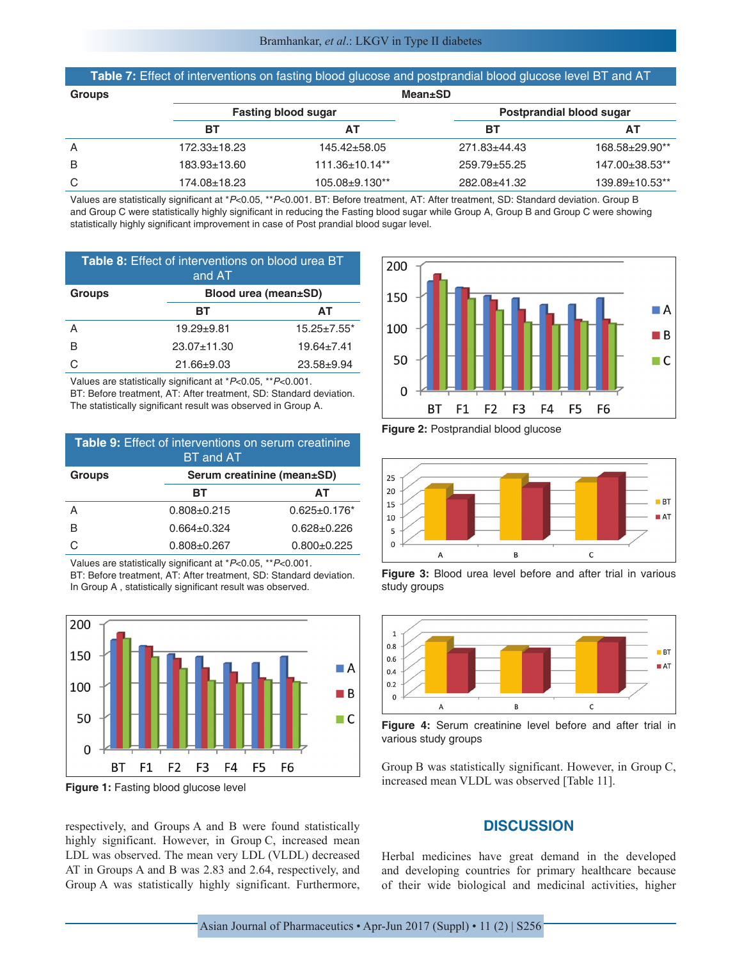#### Bramhankar, *et al*.: LKGV in Type II diabetes

# **Table 7:** Effect of interventions on fasting blood glucose and postprandial blood glucose level BT and AT

| <b>Groups</b> |                    |                            | Mean±SD          |                          |
|---------------|--------------------|----------------------------|------------------|--------------------------|
|               |                    | <b>Fasting blood sugar</b> |                  | Postprandial blood sugar |
|               | <b>BT</b>          | ΑT                         | ВT               | ΑТ                       |
| A             | $172.33 \pm 18.23$ | 145.42±58.05               | 271.83±44.43     | $168.58 \pm 29.90**$     |
| B             | $183.93 \pm 13.60$ | $111.36 \pm 10.14**$       | $259.79 + 55.25$ | 147.00±38.53**           |
| C             | 174.08±18.23       | $105.08 + 9.130**$         | 282.08+41.32     | $139.89 \pm 10.53$ **    |

Values are statistically significant at \**P*<0.05, \*\**P*<0.001. BT: Before treatment, AT: After treatment, SD: Standard deviation. Group B and Group C were statistically highly significant in reducing the Fasting blood sugar while Group A, Group B and Group C were showing statistically highly significant improvement in case of Post prandial blood sugar level.

|               | and AT            | <b>Table 8:</b> Effect of interventions on blood urea BT |
|---------------|-------------------|----------------------------------------------------------|
| <b>Groups</b> |                   | Blood urea (mean±SD)                                     |
|               | вт                | AТ                                                       |
| А             | $19.29 + 9.81$    | $15.25 \pm 7.55^*$                                       |
| R             | $23.07 \pm 11.30$ | $19.64 \pm 7.41$                                         |
|               | $21.66 \pm 9.03$  | $23.58 + 9.94$                                           |
|               |                   |                                                          |

Values are statistically significant at \**P*<0.05, \*\**P*<0.001. BT: Before treatment, AT: After treatment, SD: Standard deviation. The statistically significant result was observed in Group A.

|               | <b>Table 9:</b> Effect of interventions on serum creatinine<br><b>BT</b> and AT |                            |
|---------------|---------------------------------------------------------------------------------|----------------------------|
| <b>Groups</b> |                                                                                 | Serum creatinine (mean±SD) |
|               | ВT                                                                              | AТ                         |
| А             | $0.808 \pm 0.215$                                                               | $0.625 \pm 0.176$ *        |
| в             | $0.664 \pm 0.324$                                                               | $0.628 \pm 0.226$          |
|               | $0.808 \pm 0.267$                                                               | $0.800 \pm 0.225$          |

Values are statistically significant at \**P*<0.05, \*\**P*<0.001. BT: Before treatment, AT: After treatment, SD: Standard deviation. In Group A , statistically significant result was observed.



**Figure 1:** Fasting blood glucose level

respectively, and Groups A and B were found statistically highly significant. However, in Group C, increased mean LDL was observed. The mean very LDL (VLDL) decreased AT in Groups A and B was 2.83 and 2.64, respectively, and Group A was statistically highly significant. Furthermore,



**Figure 2:** Postprandial blood glucose



**Figure 3:** Blood urea level before and after trial in various study groups



**Figure 4:** Serum creatinine level before and after trial in various study groups

Group B was statistically significant. However, in Group C, increased mean VLDL was observed [Table 11].

# **DISCUSSION**

Herbal medicines have great demand in the developed and developing countries for primary healthcare because of their wide biological and medicinal activities, higher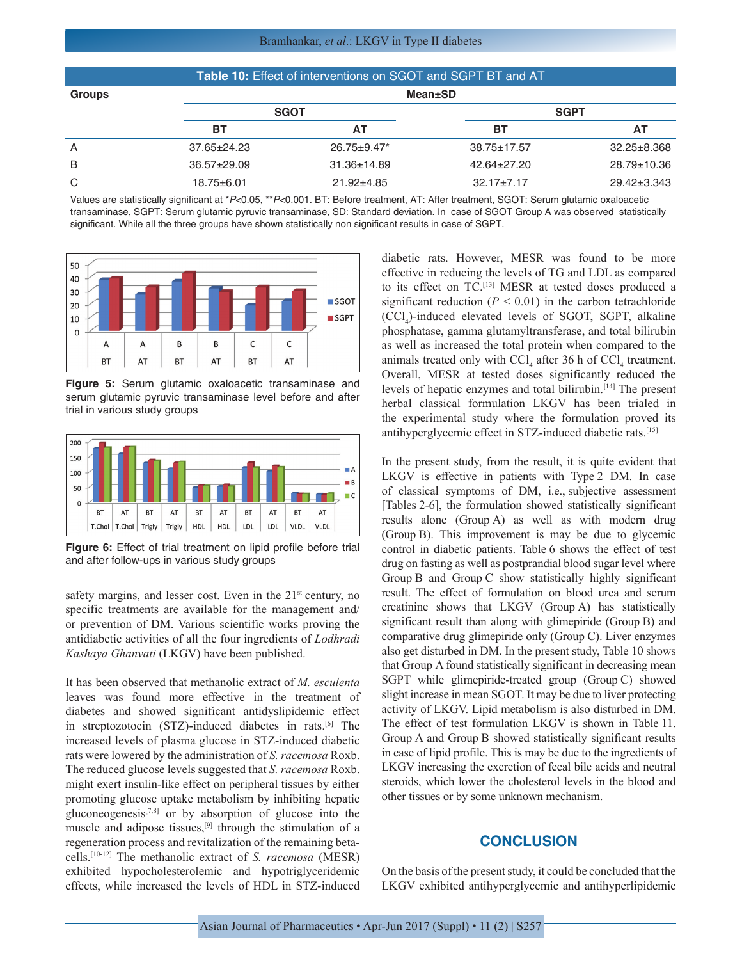#### Bramhankar, *et al*.: LKGV in Type II diabetes

|               |                   | <b>Table 10:</b> Effect of interventions on SGOT and SGPT BT and AT |                   |                   |
|---------------|-------------------|---------------------------------------------------------------------|-------------------|-------------------|
| <b>Groups</b> |                   |                                                                     | <b>Mean</b> ±SD   |                   |
|               | <b>SGOT</b>       |                                                                     | <b>SGPT</b>       |                   |
|               | ВT                | АT                                                                  | ВT                | ΑТ                |
| A             | $37.65 \pm 24.23$ | $26.75 \pm 9.47$ *                                                  | $38.75 \pm 17.57$ | $32.25 \pm 8.368$ |
| B             | $36.57 \pm 29.09$ | $31.36 \pm 14.89$                                                   | $42.64 \pm 27.20$ | 28.79±10.36       |
| C             | $18.75 \pm 6.01$  | $21.92 \pm 4.85$                                                    | $32.17 \pm 7.17$  | $29.42 \pm 3.343$ |

Values are statistically significant at \**P*<0.05, \*\**P*<0.001. BT: Before treatment, AT: After treatment, SGOT: Serum glutamic oxaloacetic transaminase, SGPT: Serum glutamic pyruvic transaminase, SD: Standard deviation. In case of SGOT Group A was observed statistically significant. While all the three groups have shown statistically non significant results in case of SGPT.



**Figure 5:** Serum glutamic oxaloacetic transaminase and serum glutamic pyruvic transaminase level before and after trial in various study groups



**Figure 6:** Effect of trial treatment on lipid profile before trial and after follow-ups in various study groups

safety margins, and lesser cost. Even in the  $21<sup>st</sup>$  century, no specific treatments are available for the management and/ or prevention of DM. Various scientific works proving the antidiabetic activities of all the four ingredients of *Lodhradi Kashaya Ghanvati* (LKGV) have been published.

It has been observed that methanolic extract of *M. esculenta* leaves was found more effective in the treatment of diabetes and showed significant antidyslipidemic effect in streptozotocin (STZ)-induced diabetes in rats.[6] The increased levels of plasma glucose in STZ-induced diabetic rats were lowered by the administration of *S. racemosa* Roxb. The reduced glucose levels suggested that *S. racemosa* Roxb. might exert insulin-like effect on peripheral tissues by either promoting glucose uptake metabolism by inhibiting hepatic gluconeogenesis<sup> $[7,8]$ </sup> or by absorption of glucose into the muscle and adipose tissues, $[9]$  through the stimulation of a regeneration process and revitalization of the remaining betacells.[10-12] The methanolic extract of *S. racemosa* (MESR) exhibited hypocholesterolemic and hypotriglyceridemic effects, while increased the levels of HDL in STZ-induced diabetic rats. However, MESR was found to be more effective in reducing the levels of TG and LDL as compared to its effect on TC.[13] MESR at tested doses produced a significant reduction  $(P < 0.01)$  in the carbon tetrachloride (CCl4 )-induced elevated levels of SGOT, SGPT, alkaline phosphatase, gamma glutamyltransferase, and total bilirubin as well as increased the total protein when compared to the animals treated only with  $\text{CCl}_4$  after 36 h of  $\text{CCl}_4$  treatment. Overall, MESR at tested doses significantly reduced the levels of hepatic enzymes and total bilirubin.**[**14] The present herbal classical formulation LKGV has been trialed in the experimental study where the formulation proved its antihyperglycemic effect in STZ-induced diabetic rats.[15]

In the present study, from the result, it is quite evident that LKGV is effective in patients with Type 2 DM. In case of classical symptoms of DM, i.e., subjective assessment [Tables 2-6], the formulation showed statistically significant results alone (Group A) as well as with modern drug (Group B). This improvement is may be due to glycemic control in diabetic patients. Table 6 shows the effect of test drug on fasting as well as postprandial blood sugar level where Group B and Group C show statistically highly significant result. The effect of formulation on blood urea and serum creatinine shows that LKGV (Group A) has statistically significant result than along with glimepiride (Group B) and comparative drug glimepiride only (Group C). Liver enzymes also get disturbed in DM. In the present study, Table 10 shows that Group A found statistically significant in decreasing mean SGPT while glimepiride-treated group (Group C) showed slight increase in mean SGOT. It may be due to liver protecting activity of LKGV. Lipid metabolism is also disturbed in DM. The effect of test formulation LKGV is shown in Table 11. Group A and Group B showed statistically significant results in case of lipid profile. This is may be due to the ingredients of LKGV increasing the excretion of fecal bile acids and neutral steroids, which lower the cholesterol levels in the blood and other tissues or by some unknown mechanism.

## **CONCLUSION**

On the basis of the present study, it could be concluded that the LKGV exhibited antihyperglycemic and antihyperlipidemic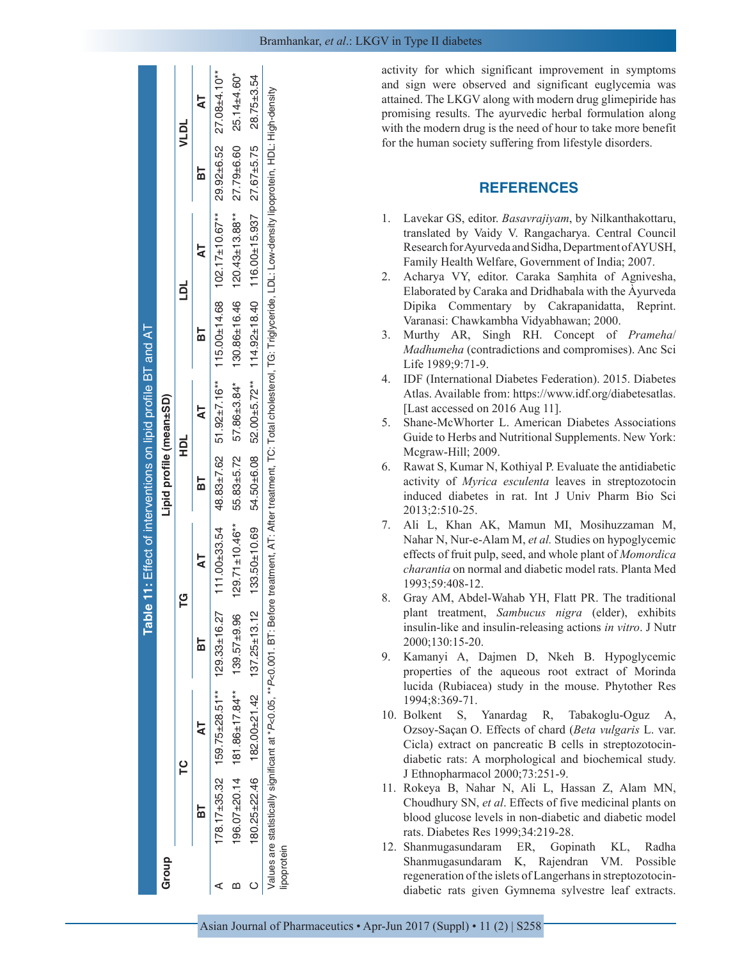|             |    |                                                                                                                                                                                                 |   | Table 11: Effect of interventions on lipid profile BT and AT |                         |                |    |                                                                                                                                      |    |                |
|-------------|----|-------------------------------------------------------------------------------------------------------------------------------------------------------------------------------------------------|---|--------------------------------------------------------------|-------------------------|----------------|----|--------------------------------------------------------------------------------------------------------------------------------------|----|----------------|
| Group       |    |                                                                                                                                                                                                 |   |                                                              | Lipid profile (mean±SD) |                |    |                                                                                                                                      |    |                |
|             |    | ပ<br>H                                                                                                                                                                                          |   | g                                                            |                         | ᇛ              |    | ᄓ                                                                                                                                    |    | <b>VLDL</b>    |
|             | 51 | $\overline{A}$                                                                                                                                                                                  | 遠 | 4                                                            | 51                      | $\overline{A}$ | 51 | $\overline{A}$                                                                                                                       | 51 | $\overline{A}$ |
|             |    | $178.17 \pm 35.32$ $159.75 \pm 28.51$ <sup>**</sup> $129.33 \pm 16.27$                                                                                                                          |   |                                                              |                         |                |    | 111.00±33.54 48.83±7.62 51.92±7.16** 115.00±14.68 102.17±10.67** 29.92±6.52 27.08±4.10**                                             |    |                |
|             |    | $139.57 \pm 20.14$ 181.86 $\pm$ 17.84** 139.57 $\pm$ 9.96                                                                                                                                       |   | $129.71 \pm 10.46***$                                        |                         |                |    | 55.83±5.72 57.86±3.84* 130.86±16.46 120.43±13.88** 27.79±6.60 25.14±4.60*                                                            |    |                |
|             |    | 180.25±22.46  182.00±21.42  137.25±13.12                                                                                                                                                        |   |                                                              |                         |                |    | $133.50\pm0.69$ $54.50\pm6.08$ $52.00\pm6.72**$ $114.92\pm18.40$ $116.00\pm15.73**$ $114.92\pm18.40$ $116.00\pm15.73$ $22.75\pm3.54$ |    |                |
| lipoprotein |    | Values are statistically significant at *P<0.05, **P<0.001. BT: Before treatment, AT: After treatment, TC: Total cholesterol, TG: Triglyceride, LDL: Low-density lipoprotein, HDL: High-density |   |                                                              |                         |                |    |                                                                                                                                      |    |                |

activity for which significant improvement in symptoms and sign were observed and significant euglycemia was attained. The LKGV along with modern drug glimepiride has promising results. The ayurvedic herbal formulation along with the modern drug is the need of hour to take more benefit for the human society suffering from lifestyle disorders.

# **REFERENCES**

- 1. Lavekar GS, editor. *Basavrajiyam*, by Nilkanthakottaru, translated by Vaidy V. Rangacharya. Central Council Research for Ayurveda and Sidha, Department of AYUSH, Family Health Welfare, Government of India; 2007.
- 2. Acharya VY, editor. Caraka Saṃhita of Agnivesha, Elaborated by Caraka and Dridhabala with the Àyurveda Dipika Commentary by Cakrapanidatta, Reprint. Varanasi: Chawkambha Vidyabhawan; 2000.
- 3. Murthy AR, Singh RH. Concept of *Prameha*/ *Madhumeha* (contradictions and compromises). Anc Sci Life 1989;9:71-9.
- 4. IDF (International Diabetes Federation). 2015. Diabetes Atlas. Available from: https://www.idf.org/diabetesatlas. [Last accessed on 2016 Aug 11].
- 5. Shane-McWhorter L. American Diabetes Associations Guide to Herbs and Nutritional Supplements. New York: Mcgraw-Hill; 2009.
- 6. Rawat S, Kumar N, Kothiyal P. Evaluate the antidiabetic activity of *Myrica esculenta* leaves in streptozotocin induced diabetes in rat. Int J Univ Pharm Bio Sci 2013;2:510-25.
- 7. Ali L, Khan AK, Mamun MI, Mosihuzzaman M, Nahar N, Nur-e-Alam M, *et al.* Studies on hypoglycemic effects of fruit pulp, seed, and whole plant of *Momordica charantia* on normal and diabetic model rats. Planta Med 1993;59:408-12.
- 8. Gray AM, Abdel-Wahab YH, Flatt PR. The traditional plant treatment, *Sambucus nigra* (elder), exhibits insulin-like and insulin-releasing actions *in vitro*. J Nutr 2000;130:15-20.
- 9. Kamanyi A, Dajmen D, Nkeh B. Hypoglycemic properties of the aqueous root extract of Morinda lucida (Rubiacea) study in the mouse. Phytother Res 1994;8:369-71.
- 10. Bolkent S, Yanardag R, Tabakoglu-Oguz A, Ozsoy-Saçan O. Effects of chard (*Beta vulgaris* L. var. Cicla) extract on pancreatic B cells in streptozotocindiabetic rats: A morphological and biochemical study. J Ethnopharmacol 2000;73:251-9.
- 11. Rokeya B, Nahar N, Ali L, Hassan Z, Alam MN, Choudhury SN, *et al*. Effects of five medicinal plants on blood glucose levels in non-diabetic and diabetic model rats. Diabetes Res 1999;34:219-28.
- 12. Shanmugasundaram ER, Gopinath KL, Radha Shanmugasundaram K, Rajendran VM. Possible regeneration of the islets of Langerhans in streptozotocindiabetic rats given Gymnema sylvestre leaf extracts.